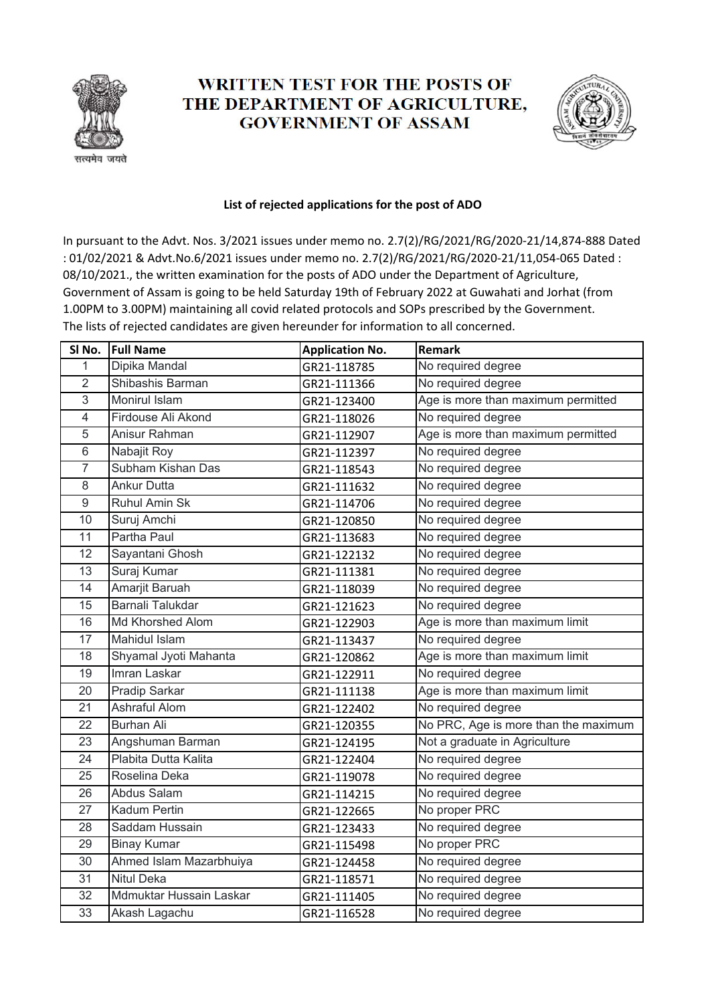

## **WRITTEN TEST FOR THE POSTS OF** THE DEPARTMENT OF AGRICULTURE, **GOVERNMENT OF ASSAM**



## **List of rejected applications for the post of ADO**

In pursuant to the Advt. Nos. 3/2021 issues under memo no. 2.7(2)/RG/2021/RG/2020‐21/14,874‐888 Dated : 01/02/2021 & Advt.No.6/2021 issues under memo no. 2.7(2)/RG/2021/RG/2020‐21/11,054‐065 Dated : 08/10/2021., the written examination for the posts of ADO under the Department of Agriculture, Government of Assam is going to be held Saturday 19th of February 2022 at Guwahati and Jorhat (from 1.00PM to 3.00PM) maintaining all covid related protocols and SOPs prescribed by the Government. The lists of rejected candidates are given hereunder for information to all concerned.

| SI No.         | <b>Full Name</b>        | <b>Application No.</b> | <b>Remark</b>                        |
|----------------|-------------------------|------------------------|--------------------------------------|
| 1              | Dipika Mandal           | GR21-118785            | No required degree                   |
| $\overline{2}$ | Shibashis Barman        | GR21-111366            | No required degree                   |
| 3              | Monirul Islam           | GR21-123400            | Age is more than maximum permitted   |
| $\overline{4}$ | Firdouse Ali Akond      | GR21-118026            | No required degree                   |
| 5              | Anisur Rahman           | GR21-112907            | Age is more than maximum permitted   |
| 6              | Nabajit Roy             | GR21-112397            | No required degree                   |
| $\overline{7}$ | Subham Kishan Das       | GR21-118543            | No required degree                   |
| 8              | <b>Ankur Dutta</b>      | GR21-111632            | No required degree                   |
| $9\,$          | Ruhul Amin Sk           | GR21-114706            | No required degree                   |
| 10             | Suruj Amchi             | GR21-120850            | No required degree                   |
| 11             | Partha Paul             | GR21-113683            | No required degree                   |
| 12             | Sayantani Ghosh         | GR21-122132            | No required degree                   |
| 13             | Suraj Kumar             | GR21-111381            | No required degree                   |
| 14             | Amarjit Baruah          | GR21-118039            | No required degree                   |
| 15             | Barnali Talukdar        | GR21-121623            | No required degree                   |
| 16             | Md Khorshed Alom        | GR21-122903            | Age is more than maximum limit       |
| 17             | Mahidul Islam           | GR21-113437            | No required degree                   |
| 18             | Shyamal Jyoti Mahanta   | GR21-120862            | Age is more than maximum limit       |
| 19             | Imran Laskar            | GR21-122911            | No required degree                   |
| 20             | Pradip Sarkar           | GR21-111138            | Age is more than maximum limit       |
| 21             | Ashraful Alom           | GR21-122402            | No required degree                   |
| 22             | <b>Burhan Ali</b>       | GR21-120355            | No PRC, Age is more than the maximum |
| 23             | Angshuman Barman        | GR21-124195            | Not a graduate in Agriculture        |
| 24             | Plabita Dutta Kalita    | GR21-122404            | No required degree                   |
| 25             | Roselina Deka           | GR21-119078            | No required degree                   |
| 26             | Abdus Salam             | GR21-114215            | No required degree                   |
| 27             | Kadum Pertin            | GR21-122665            | No proper PRC                        |
| 28             | Saddam Hussain          | GR21-123433            | No required degree                   |
| 29             | <b>Binay Kumar</b>      | GR21-115498            | No proper PRC                        |
| 30             | Ahmed Islam Mazarbhuiya | GR21-124458            | No required degree                   |
| 31             | <b>Nitul Deka</b>       | GR21-118571            | No required degree                   |
| 32             | Mdmuktar Hussain Laskar | GR21-111405            | No required degree                   |
| 33             | Akash Lagachu           | GR21-116528            | No required degree                   |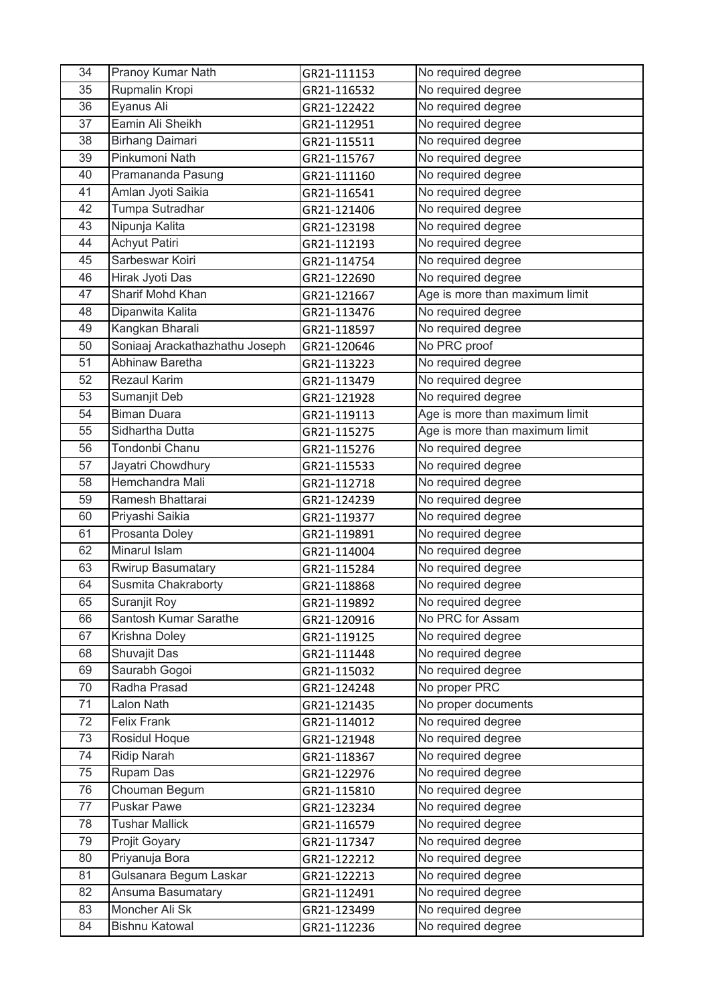| 34 | Pranoy Kumar Nath              | GR21-111153 | No required degree             |
|----|--------------------------------|-------------|--------------------------------|
| 35 | Rupmalin Kropi                 | GR21-116532 | No required degree             |
| 36 | Eyanus Ali                     | GR21-122422 | No required degree             |
| 37 | Eamin Ali Sheikh               | GR21-112951 | No required degree             |
| 38 | <b>Birhang Daimari</b>         | GR21-115511 | No required degree             |
| 39 | Pinkumoni Nath                 | GR21-115767 | No required degree             |
| 40 | Pramananda Pasung              | GR21-111160 | No required degree             |
| 41 | Amlan Jyoti Saikia             | GR21-116541 | No required degree             |
| 42 | Tumpa Sutradhar                | GR21-121406 | No required degree             |
| 43 | Nipunja Kalita                 | GR21-123198 | No required degree             |
| 44 | <b>Achyut Patiri</b>           | GR21-112193 | No required degree             |
| 45 | Sarbeswar Koiri                | GR21-114754 | No required degree             |
| 46 | Hirak Jyoti Das                | GR21-122690 | No required degree             |
| 47 | Sharif Mohd Khan               | GR21-121667 | Age is more than maximum limit |
| 48 | Dipanwita Kalita               | GR21-113476 | No required degree             |
| 49 | Kangkan Bharali                | GR21-118597 | No required degree             |
| 50 | Soniaaj Arackathazhathu Joseph | GR21-120646 | No PRC proof                   |
| 51 | Abhinaw Baretha                | GR21-113223 | No required degree             |
| 52 | Rezaul Karim                   | GR21-113479 | No required degree             |
| 53 | Sumanjit Deb                   | GR21-121928 | No required degree             |
| 54 | <b>Biman Duara</b>             | GR21-119113 | Age is more than maximum limit |
| 55 | Sidhartha Dutta                | GR21-115275 | Age is more than maximum limit |
| 56 | Tondonbi Chanu                 | GR21-115276 | No required degree             |
| 57 | Jayatri Chowdhury              | GR21-115533 | No required degree             |
| 58 | Hemchandra Mali                | GR21-112718 | No required degree             |
| 59 | Ramesh Bhattarai               | GR21-124239 | No required degree             |
| 60 | Priyashi Saikia                | GR21-119377 | No required degree             |
| 61 | Prosanta Doley                 | GR21-119891 | No required degree             |
| 62 | Minarul Islam                  | GR21-114004 | No required degree             |
| 63 | <b>Rwirup Basumatary</b>       | GR21-115284 | No required degree             |
| 64 | Susmita Chakraborty            | GR21-118868 | No required degree             |
| 65 | Suranjit Roy                   | GR21-119892 | No required degree             |
| 66 | Santosh Kumar Sarathe          | GR21-120916 | No PRC for Assam               |
| 67 | Krishna Doley                  | GR21-119125 | No required degree             |
| 68 | Shuvajit Das                   | GR21-111448 | No required degree             |
| 69 | Saurabh Gogoi                  | GR21-115032 | No required degree             |
| 70 | Radha Prasad                   | GR21-124248 | No proper PRC                  |
| 71 | Lalon Nath                     | GR21-121435 | No proper documents            |
| 72 | <b>Felix Frank</b>             | GR21-114012 | No required degree             |
| 73 | Rosidul Hoque                  | GR21-121948 | No required degree             |
| 74 | <b>Ridip Narah</b>             | GR21-118367 | No required degree             |
| 75 | Rupam Das                      | GR21-122976 | No required degree             |
| 76 | Chouman Begum                  | GR21-115810 | No required degree             |
| 77 | <b>Puskar Pawe</b>             | GR21-123234 | No required degree             |
| 78 | <b>Tushar Mallick</b>          | GR21-116579 | No required degree             |
| 79 | Projit Goyary                  | GR21-117347 | No required degree             |
| 80 | Priyanuja Bora                 | GR21-122212 | No required degree             |
| 81 | Gulsanara Begum Laskar         | GR21-122213 | No required degree             |
| 82 | Ansuma Basumatary              | GR21-112491 | No required degree             |
| 83 | Moncher Ali Sk                 | GR21-123499 | No required degree             |
| 84 | <b>Bishnu Katowal</b>          | GR21-112236 | No required degree             |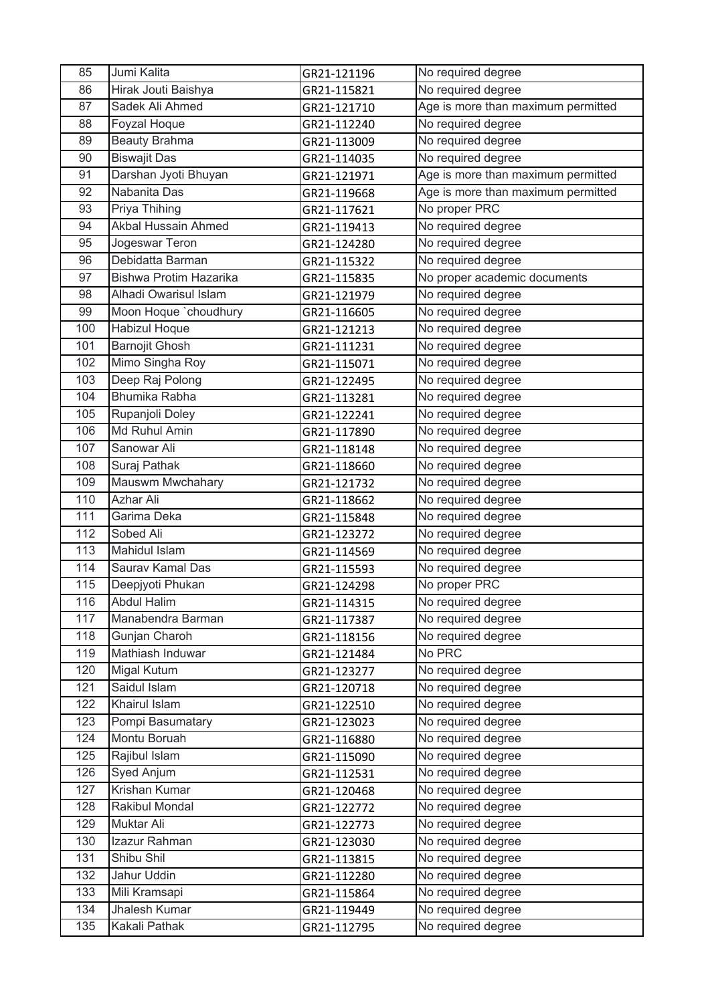| 85  | Jumi Kalita            | GR21-121196 | No required degree                 |
|-----|------------------------|-------------|------------------------------------|
| 86  | Hirak Jouti Baishya    | GR21-115821 | No required degree                 |
| 87  | Sadek Ali Ahmed        | GR21-121710 | Age is more than maximum permitted |
| 88  | Foyzal Hoque           | GR21-112240 | No required degree                 |
| 89  | <b>Beauty Brahma</b>   | GR21-113009 | No required degree                 |
| 90  | <b>Biswajit Das</b>    | GR21-114035 | No required degree                 |
| 91  | Darshan Jyoti Bhuyan   | GR21-121971 | Age is more than maximum permitted |
| 92  | Nabanita Das           | GR21-119668 | Age is more than maximum permitted |
| 93  | Priya Thihing          | GR21-117621 | No proper PRC                      |
| 94  | Akbal Hussain Ahmed    | GR21-119413 | No required degree                 |
| 95  | Jogeswar Teron         | GR21-124280 | No required degree                 |
| 96  | Debidatta Barman       | GR21-115322 | No required degree                 |
| 97  | Bishwa Protim Hazarika | GR21-115835 | No proper academic documents       |
| 98  | Alhadi Owarisul Islam  | GR21-121979 | No required degree                 |
| 99  | Moon Hoque 'choudhury  | GR21-116605 | No required degree                 |
| 100 | <b>Habizul Hoque</b>   | GR21-121213 | No required degree                 |
| 101 | <b>Barnojit Ghosh</b>  | GR21-111231 | No required degree                 |
| 102 | Mimo Singha Roy        | GR21-115071 | No required degree                 |
| 103 | Deep Raj Polong        | GR21-122495 | No required degree                 |
| 104 | Bhumika Rabha          | GR21-113281 | No required degree                 |
| 105 | Rupanjoli Doley        | GR21-122241 | No required degree                 |
| 106 | Md Ruhul Amin          | GR21-117890 | No required degree                 |
| 107 | Sanowar Ali            | GR21-118148 | No required degree                 |
| 108 | Suraj Pathak           | GR21-118660 | No required degree                 |
| 109 | Mauswm Mwchahary       | GR21-121732 | No required degree                 |
| 110 | <b>Azhar Ali</b>       | GR21-118662 | No required degree                 |
| 111 | Garima Deka            | GR21-115848 | No required degree                 |
| 112 | Sobed Ali              | GR21-123272 | No required degree                 |
| 113 | Mahidul Islam          | GR21-114569 | No required degree                 |
| 114 | Saurav Kamal Das       | GR21-115593 | No required degree                 |
| 115 | Deepjyoti Phukan       | GR21-124298 | No proper PRC                      |
| 116 | <b>Abdul Halim</b>     | GR21-114315 | No required degree                 |
| 117 | Manabendra Barman      | GR21-117387 | No required degree                 |
| 118 | Gunjan Charoh          | GR21-118156 | No required degree                 |
| 119 | Mathiash Induwar       | GR21-121484 | No PRC                             |
| 120 | Migal Kutum            | GR21-123277 | No required degree                 |
| 121 | Saidul Islam           | GR21-120718 | No required degree                 |
| 122 | Khairul Islam          | GR21-122510 | No required degree                 |
| 123 | Pompi Basumatary       | GR21-123023 | No required degree                 |
| 124 | Montu Boruah           | GR21-116880 | No required degree                 |
| 125 | Rajibul Islam          | GR21-115090 | No required degree                 |
| 126 | Syed Anjum             | GR21-112531 | No required degree                 |
| 127 | Krishan Kumar          | GR21-120468 | No required degree                 |
| 128 | <b>Rakibul Mondal</b>  | GR21-122772 | No required degree                 |
| 129 | Muktar Ali             | GR21-122773 | No required degree                 |
| 130 | Izazur Rahman          | GR21-123030 | No required degree                 |
| 131 | Shibu Shil             | GR21-113815 | No required degree                 |
| 132 | Jahur Uddin            | GR21-112280 | No required degree                 |
| 133 | Mili Kramsapi          | GR21-115864 | No required degree                 |
| 134 | Jhalesh Kumar          | GR21-119449 | No required degree                 |
| 135 | Kakali Pathak          | GR21-112795 | No required degree                 |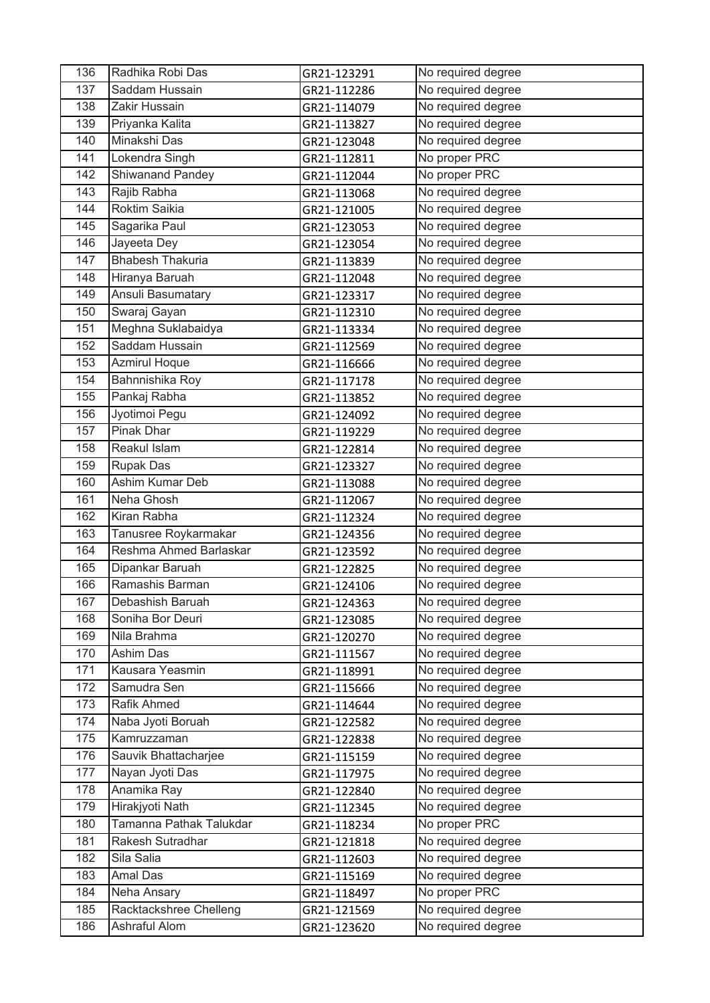| 136              | Radhika Robi Das        | GR21-123291 | No required degree |
|------------------|-------------------------|-------------|--------------------|
| 137              | Saddam Hussain          | GR21-112286 | No required degree |
| 138              | Zakir Hussain           | GR21-114079 | No required degree |
| 139              | Priyanka Kalita         | GR21-113827 | No required degree |
| 140              | Minakshi Das            | GR21-123048 | No required degree |
| 141              | Lokendra Singh          | GR21-112811 | No proper PRC      |
| 142              | Shiwanand Pandey        | GR21-112044 | No proper PRC      |
| $\overline{143}$ | Rajib Rabha             | GR21-113068 | No required degree |
| 144              | Roktim Saikia           | GR21-121005 | No required degree |
| 145              | Sagarika Paul           | GR21-123053 | No required degree |
| 146              | Jayeeta Dey             | GR21-123054 | No required degree |
| 147              | <b>Bhabesh Thakuria</b> | GR21-113839 | No required degree |
| 148              | Hiranya Baruah          | GR21-112048 | No required degree |
| 149              | Ansuli Basumatary       | GR21-123317 | No required degree |
| 150              | Swaraj Gayan            | GR21-112310 | No required degree |
| 151              | Meghna Suklabaidya      | GR21-113334 | No required degree |
| 152              | Saddam Hussain          | GR21-112569 | No required degree |
| 153              | <b>Azmirul Hoque</b>    | GR21-116666 | No required degree |
| 154              | Bahnnishika Roy         | GR21-117178 | No required degree |
| 155              | Pankaj Rabha            | GR21-113852 | No required degree |
| 156              | Jyotimoi Pegu           | GR21-124092 | No required degree |
| 157              | Pinak Dhar              | GR21-119229 | No required degree |
| 158              | Reakul Islam            | GR21-122814 | No required degree |
| 159              | <b>Rupak Das</b>        | GR21-123327 | No required degree |
| 160              | Ashim Kumar Deb         | GR21-113088 | No required degree |
| 161              | Neha Ghosh              | GR21-112067 | No required degree |
| 162              | Kiran Rabha             | GR21-112324 | No required degree |
| 163              | Tanusree Roykarmakar    | GR21-124356 | No required degree |
| 164              | Reshma Ahmed Barlaskar  | GR21-123592 | No required degree |
| 165              | Dipankar Baruah         | GR21-122825 | No required degree |
| 166              | Ramashis Barman         | GR21-124106 | No required degree |
| 167              | Debashish Baruah        | GR21-124363 | No required degree |
| 168              | Soniha Bor Deuri        | GR21-123085 | No required degree |
| 169              | Nila Brahma             | GR21-120270 | No required degree |
| 170              | Ashim Das               | GR21-111567 | No required degree |
| 171              | Kausara Yeasmin         | GR21-118991 | No required degree |
| 172              | Samudra Sen             | GR21-115666 | No required degree |
| 173              | Rafik Ahmed             | GR21-114644 | No required degree |
| 174              | Naba Jyoti Boruah       | GR21-122582 | No required degree |
| 175              | Kamruzzaman             | GR21-122838 | No required degree |
| 176              | Sauvik Bhattacharjee    | GR21-115159 | No required degree |
| 177              | Nayan Jyoti Das         | GR21-117975 | No required degree |
| 178              | Anamika Ray             | GR21-122840 | No required degree |
| 179              | Hirakjyoti Nath         | GR21-112345 | No required degree |
| 180              | Tamanna Pathak Talukdar | GR21-118234 | No proper PRC      |
| 181              | Rakesh Sutradhar        | GR21-121818 | No required degree |
| 182              | Sila Salia              | GR21-112603 | No required degree |
| 183              | <b>Amal Das</b>         | GR21-115169 | No required degree |
| 184              | Neha Ansary             | GR21-118497 | No proper PRC      |
| 185              | Racktackshree Chelleng  | GR21-121569 | No required degree |
| 186              | Ashraful Alom           | GR21-123620 | No required degree |